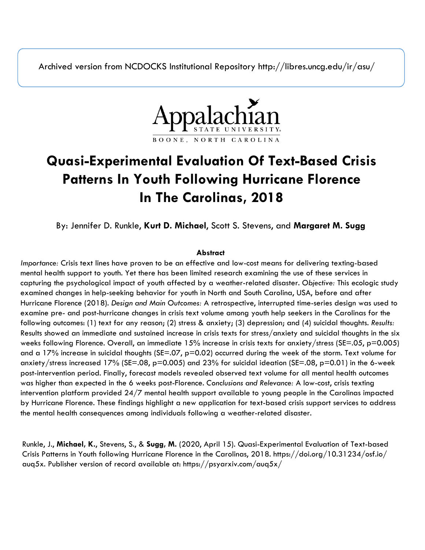Archived version from NCDOCKS Institutional Repository http://libres.uncg.edu/ir/asu/



# **Quasi-Experimental Evaluation Of Text-Based Crisis Patterns In Youth Following Hurricane Florence In The Carolinas, 2018**

By: Jennifer D. Runkle, **Kurt D. Michael**, Scott S. Stevens, and **Margaret M. Sugg**

#### **Abstract**

*Importance:* Crisis text lines have proven to be an effective and low-cost means for delivering texting-based mental health support to youth. Yet there has been limited research examining the use of these services in capturing the psychological impact of youth affected by a weather-related disaster. *Objective:* This ecologic study examined changes in help-seeking behavior for youth in North and South Carolina, USA, before and after Hurricane Florence (2018). *Design and Main Outcomes:* A retrospective, interrupted time-series design was used to examine pre- and post-hurricane changes in crisis text volume among youth help seekers in the Carolinas for the following outcomes: (1) text for any reason; (2) stress & anxiety; (3) depression; and (4) suicidal thoughts. *Results:*  Results showed an immediate and sustained increase in crisis texts for stress/anxiety and suicidal thoughts in the six weeks following Florence. Overall, an immediate 15% increase in crisis texts for anxiety/stress (SE=.05, p=0.005) and a 17% increase in suicidal thoughts (SE=.07, p=0.02) occurred during the week of the storm. Text volume for anxiety/stress increased 17% (SE=.08, p=0.005) and 23% for suicidal ideation (SE=.08, p=0.01) in the 6-week post-intervention period. Finally, forecast models revealed observed text volume for all mental health outcomes was higher than expected in the 6 weeks post-Florence. *Conclusions and Relevance:* A low-cost, crisis texting intervention platform provided 24/7 mental health support available to young people in the Carolinas impacted by Hurricane Florence. These findings highlight a new application for text-based crisis support services to address the mental health consequences among individuals following a weather-related disaster.

Runkle, J., **Michael, K.**, Stevens, S., & **Sugg, M.** (2020, April 15). Quasi-Experimental Evaluation of Text-based Crisis Patterns in Youth following Hurricane Florence in the Carolinas, 2018. https://doi.org/10.31234/osf.io/ auq5x. Publisher version of record available at: https://psyarxiv.com/auq5x/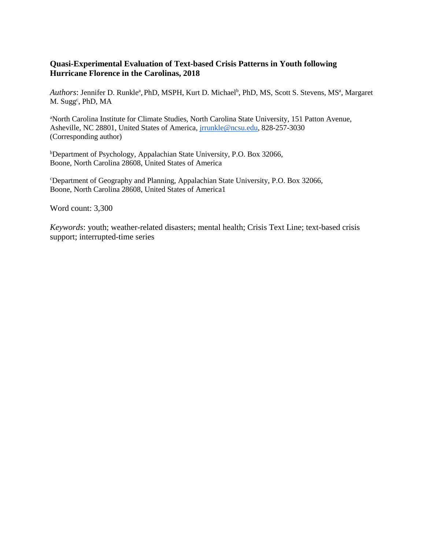# **Quasi-Experimental Evaluation of Text-based Crisis Patterns in Youth following Hurricane Florence in the Carolinas, 2018**

Authors: Jennifer D. Runkle<sup>a</sup>, PhD, MSPH, Kurt D. Michael<sup>b</sup>, PhD, MS, Scott S. Stevens, MS<sup>a</sup>, Margaret M. Sugg<sup>c</sup>, PhD, MA

a North Carolina Institute for Climate Studies, North Carolina State University, 151 Patton Avenue, Asheville, NC 28801, United States of America, [jrrunkle@ncsu.edu,](mailto:jrrunkle@ncsu.edu) 828-257-3030 (Corresponding author)

b Department of Psychology, Appalachian State University, P.O. Box 32066, Boone, North Carolina 28608, United States of America

c Department of Geography and Planning, Appalachian State University, P.O. Box 32066, Boone, North Carolina 28608, United States of America1

Word count: 3,300

*Keywords*: youth; weather-related disasters; mental health; Crisis Text Line; text-based crisis support; interrupted-time series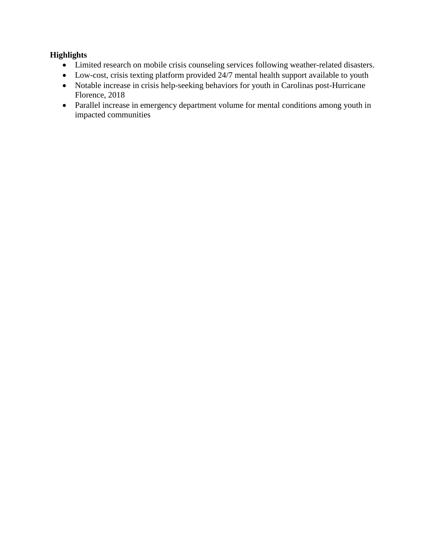# **Highlights**

- Limited research on mobile crisis counseling services following weather-related disasters.
- Low-cost, crisis texting platform provided 24/7 mental health support available to youth
- Notable increase in crisis help-seeking behaviors for youth in Carolinas post-Hurricane Florence, 2018
- Parallel increase in emergency department volume for mental conditions among youth in impacted communities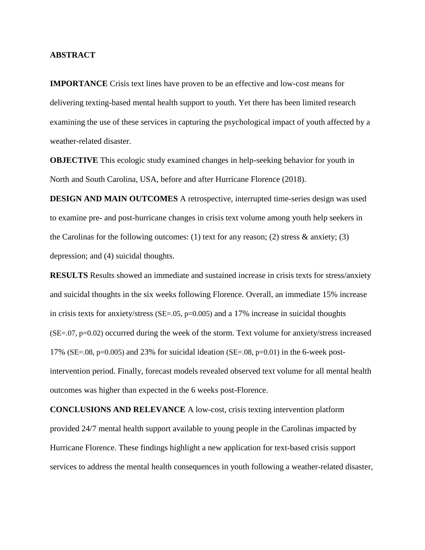#### **ABSTRACT**

**IMPORTANCE** Crisis text lines have proven to be an effective and low-cost means for delivering texting-based mental health support to youth. Yet there has been limited research examining the use of these services in capturing the psychological impact of youth affected by a weather-related disaster.

**OBJECTIVE** This ecologic study examined changes in help-seeking behavior for youth in North and South Carolina, USA, before and after Hurricane Florence (2018).

**DESIGN AND MAIN OUTCOMES** A retrospective, interrupted time-series design was used to examine pre- and post-hurricane changes in crisis text volume among youth help seekers in the Carolinas for the following outcomes: (1) text for any reason; (2) stress  $\&$  anxiety; (3) depression; and (4) suicidal thoughts.

**RESULTS** Results showed an immediate and sustained increase in crisis texts for stress/anxiety and suicidal thoughts in the six weeks following Florence. Overall, an immediate 15% increase in crisis texts for anxiety/stress (SE=.05,  $p=0.005$ ) and a 17% increase in suicidal thoughts (SE=.07, p=0.02) occurred during the week of the storm. Text volume for anxiety/stress increased 17% (SE=.08, p=0.005) and 23% for suicidal ideation (SE=.08, p=0.01) in the 6-week postintervention period. Finally, forecast models revealed observed text volume for all mental health outcomes was higher than expected in the 6 weeks post-Florence.

**CONCLUSIONS AND RELEVANCE** A low-cost, crisis texting intervention platform provided 24/7 mental health support available to young people in the Carolinas impacted by Hurricane Florence. These findings highlight a new application for text-based crisis support services to address the mental health consequences in youth following a weather-related disaster,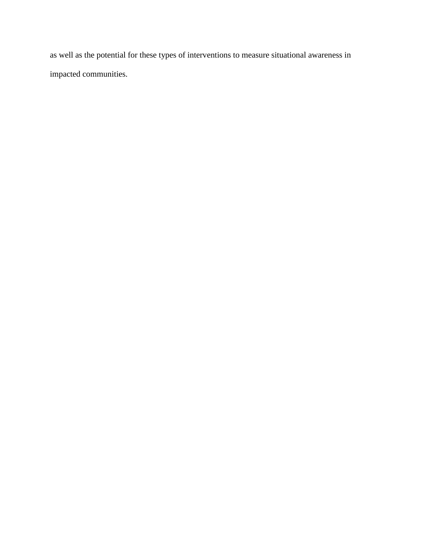as well as the potential for these types of interventions to measure situational awareness in impacted communities.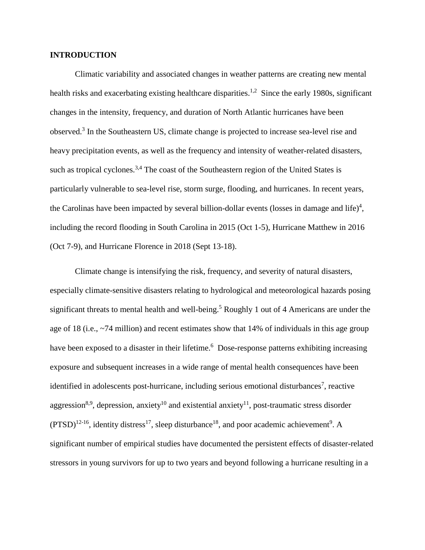## **INTRODUCTION**

Climatic variability and associated changes in weather patterns are creating new mental health risks and exacerbating existing healthcare disparities.<sup>1,2</sup> Since the early 1980s, significant changes in the intensity, frequency, and duration of North Atlantic hurricanes have been observed.3 In the Southeastern US, climate change is projected to increase sea-level rise and heavy precipitation events, as well as the frequency and intensity of weather-related disasters, such as tropical cyclones.<sup>3,4</sup> The coast of the Southeastern region of the United States is particularly vulnerable to sea-level rise, storm surge, flooding, and hurricanes. In recent years, the Carolinas have been impacted by several billion-dollar events (losses in damage and life)<sup>4</sup>, including the record flooding in South Carolina in 2015 (Oct 1-5), Hurricane Matthew in 2016 (Oct 7-9), and Hurricane Florence in 2018 (Sept 13-18).

Climate change is intensifying the risk, frequency, and severity of natural disasters, especially climate-sensitive disasters relating to hydrological and meteorological hazards posing significant threats to mental health and well-being.<sup>5</sup> Roughly 1 out of 4 Americans are under the age of 18 (i.e., ~74 million) and recent estimates show that 14% of individuals in this age group have been exposed to a disaster in their lifetime.<sup>6</sup> Dose-response patterns exhibiting increasing exposure and subsequent increases in a wide range of mental health consequences have been identified in adolescents post-hurricane, including serious emotional disturbances<sup>7</sup>, reactive aggression<sup>8,9</sup>, depression, anxiety<sup>10</sup> and existential anxiety<sup>11</sup>, post-traumatic stress disorder  $(PTSD)^{12-16}$ , identity distress<sup>17</sup>, sleep disturbance<sup>18</sup>, and poor academic achievement<sup>9</sup>. A significant number of empirical studies have documented the persistent effects of disaster-related stressors in young survivors for up to two years and beyond following a hurricane resulting in a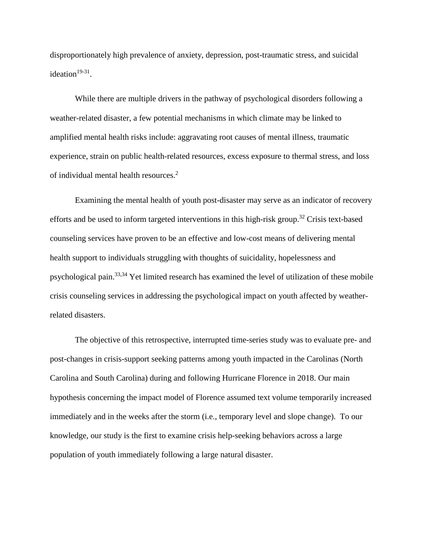disproportionately high prevalence of anxiety, depression, post-traumatic stress, and suicidal ideation $19-31$ .

While there are multiple drivers in the pathway of psychological disorders following a weather-related disaster, a few potential mechanisms in which climate may be linked to amplified mental health risks include: aggravating root causes of mental illness, traumatic experience, strain on public health-related resources, excess exposure to thermal stress, and loss of individual mental health resources.<sup>2</sup>

Examining the mental health of youth post-disaster may serve as an indicator of recovery efforts and be used to inform targeted interventions in this high-risk group.<sup>32</sup> Crisis text-based counseling services have proven to be an effective and low-cost means of delivering mental health support to individuals struggling with thoughts of suicidality, hopelessness and psychological pain.33,34 Yet limited research has examined the level of utilization of these mobile crisis counseling services in addressing the psychological impact on youth affected by weatherrelated disasters.

The objective of this retrospective, interrupted time-series study was to evaluate pre- and post-changes in crisis-support seeking patterns among youth impacted in the Carolinas (North Carolina and South Carolina) during and following Hurricane Florence in 2018. Our main hypothesis concerning the impact model of Florence assumed text volume temporarily increased immediately and in the weeks after the storm (i.e., temporary level and slope change). To our knowledge, our study is the first to examine crisis help-seeking behaviors across a large population of youth immediately following a large natural disaster.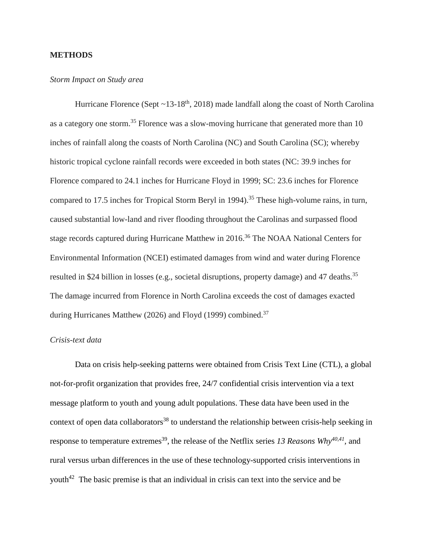## **METHODS**

#### *Storm Impact on Study area*

Hurricane Florence (Sept  $\sim$ 13-18<sup>th</sup>, 2018) made landfall along the coast of North Carolina as a category one storm.<sup>35</sup> Florence was a slow-moving hurricane that generated more than 10 inches of rainfall along the coasts of North Carolina (NC) and South Carolina (SC); whereby historic tropical cyclone rainfall records were exceeded in both states (NC: 39.9 inches for Florence compared to 24.1 inches for Hurricane Floyd in 1999; SC: 23.6 inches for Florence compared to 17.5 inches for Tropical Storm Beryl in 1994).<sup>35</sup> These high-volume rains, in turn, caused substantial low-land and river flooding throughout the Carolinas and surpassed flood stage records captured during Hurricane Matthew in 2016.<sup>36</sup> The NOAA National Centers for Environmental Information (NCEI) estimated damages from wind and water during Florence resulted in \$24 billion in losses (e.g., societal disruptions, property damage) and 47 deaths.<sup>35</sup> The damage incurred from Florence in North Carolina exceeds the cost of damages exacted during Hurricanes Matthew (2026) and Floyd (1999) combined.<sup>37</sup>

## *Crisis-text data*

Data on crisis help-seeking patterns were obtained from Crisis Text Line (CTL), a global not-for-profit organization that provides free, 24/7 confidential crisis intervention via a text message platform to youth and young adult populations. These data have been used in the context of open data collaborators<sup>38</sup> to understand the relationship between crisis-help seeking in response to temperature extremes<sup>39</sup>, the release of the Netflix series 13 Reasons Why<sup>40,41</sup>, and rural versus urban differences in the use of these technology-supported crisis interventions in youth<sup>42</sup> The basic premise is that an individual in crisis can text into the service and be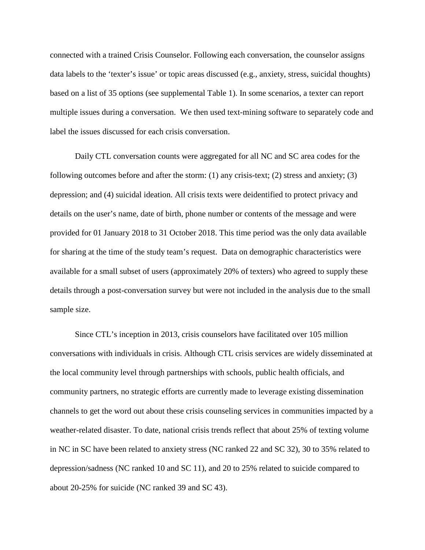connected with a trained Crisis Counselor. Following each conversation, the counselor assigns data labels to the 'texter's issue' or topic areas discussed (e.g., anxiety, stress, suicidal thoughts) based on a list of 35 options (see supplemental Table 1). In some scenarios, a texter can report multiple issues during a conversation. We then used text-mining software to separately code and label the issues discussed for each crisis conversation.

Daily CTL conversation counts were aggregated for all NC and SC area codes for the following outcomes before and after the storm: (1) any crisis-text; (2) stress and anxiety; (3) depression; and (4) suicidal ideation. All crisis texts were deidentified to protect privacy and details on the user's name, date of birth, phone number or contents of the message and were provided for 01 January 2018 to 31 October 2018. This time period was the only data available for sharing at the time of the study team's request. Data on demographic characteristics were available for a small subset of users (approximately 20% of texters) who agreed to supply these details through a post-conversation survey but were not included in the analysis due to the small sample size.

Since CTL's inception in 2013, crisis counselors have facilitated over 105 million conversations with individuals in crisis. Although CTL crisis services are widely disseminated at the local community level through partnerships with schools, public health officials, and community partners, no strategic efforts are currently made to leverage existing dissemination channels to get the word out about these crisis counseling services in communities impacted by a weather-related disaster. To date, national crisis trends reflect that about 25% of texting volume in NC in SC have been related to anxiety stress (NC ranked 22 and SC 32), 30 to 35% related to depression/sadness (NC ranked 10 and SC 11), and 20 to 25% related to suicide compared to about 20-25% for suicide (NC ranked 39 and SC 43).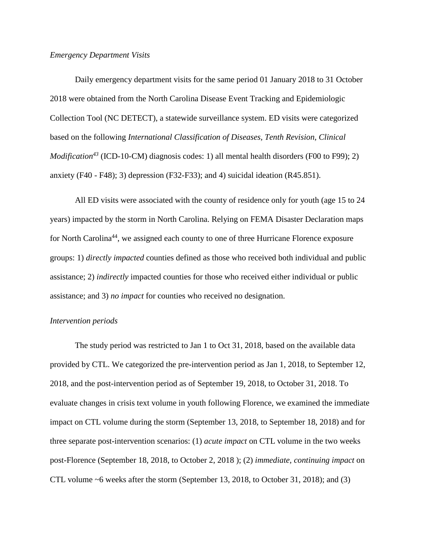#### *Emergency Department Visits*

Daily emergency department visits for the same period 01 January 2018 to 31 October 2018 were obtained from the North Carolina Disease Event Tracking and Epidemiologic Collection Tool (NC DETECT), a statewide surveillance system. ED visits were categorized based on the following *International Classification of Diseases, Tenth Revision, Clinical Modification*<sup>43</sup> (ICD-10-CM) diagnosis codes: 1) all mental health disorders (F00 to F99); 2) anxiety (F40 - F48); 3) depression (F32-F33); and 4) suicidal ideation (R45.851).

All ED visits were associated with the county of residence only for youth (age 15 to 24 years) impacted by the storm in North Carolina. Relying on FEMA Disaster Declaration maps for North Carolina<sup>44</sup>, we assigned each county to one of three Hurricane Florence exposure groups: 1) *directly impacted* counties defined as those who received both individual and public assistance; 2) *indirectly* impacted counties for those who received either individual or public assistance; and 3) *no impact* for counties who received no designation.

#### *Intervention periods*

The study period was restricted to Jan 1 to Oct 31, 2018, based on the available data provided by CTL. We categorized the pre-intervention period as Jan 1, 2018, to September 12, 2018, and the post-intervention period as of September 19, 2018, to October 31, 2018. To evaluate changes in crisis text volume in youth following Florence, we examined the immediate impact on CTL volume during the storm (September 13, 2018, to September 18, 2018) and for three separate post-intervention scenarios: (1) *acute impact* on CTL volume in the two weeks post-Florence (September 18, 2018, to October 2, 2018 ); (2) *immediate, continuing impact* on CTL volume ~6 weeks after the storm (September 13, 2018, to October 31, 2018); and (3)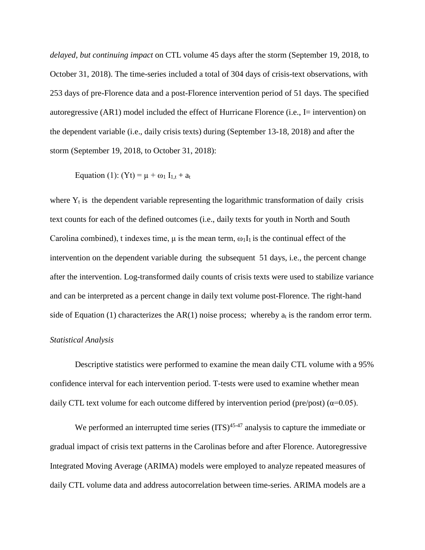*delayed, but continuing impact* on CTL volume 45 days after the storm (September 19, 2018, to October 31, 2018). The time-series included a total of 304 days of crisis-text observations, with 253 days of pre-Florence data and a post-Florence intervention period of 51 days. The specified autoregressive (AR1) model included the effect of Hurricane Florence (i.e., I= intervention) on the dependent variable (i.e., daily crisis texts) during (September 13-18, 2018) and after the storm (September 19, 2018, to October 31, 2018):

Equation (1):  $(Yt) = \mu + \omega_1 I_{1,t} + a_t$ 

where  $Y_t$  is the dependent variable representing the logarithmic transformation of daily crisis text counts for each of the defined outcomes (i.e., daily texts for youth in North and South Carolina combined), t indexes time,  $\mu$  is the mean term,  $\omega_1 I_1$  is the continual effect of the intervention on the dependent variable during the subsequent 51 days, i.e., the percent change after the intervention. Log-transformed daily counts of crisis texts were used to stabilize variance and can be interpreted as a percent change in daily text volume post-Florence. The right-hand side of Equation (1) characterizes the AR(1) noise process; whereby  $a_t$  is the random error term.

#### *Statistical Analysis*

Descriptive statistics were performed to examine the mean daily CTL volume with a 95% confidence interval for each intervention period. T-tests were used to examine whether mean daily CTL text volume for each outcome differed by intervention period (pre/post) ( $\alpha$ =0.05).

We performed an interrupted time series  $(ITS)^{45-47}$  analysis to capture the immediate or gradual impact of crisis text patterns in the Carolinas before and after Florence. Autoregressive Integrated Moving Average (ARIMA) models were employed to analyze repeated measures of daily CTL volume data and address autocorrelation between time-series. ARIMA models are a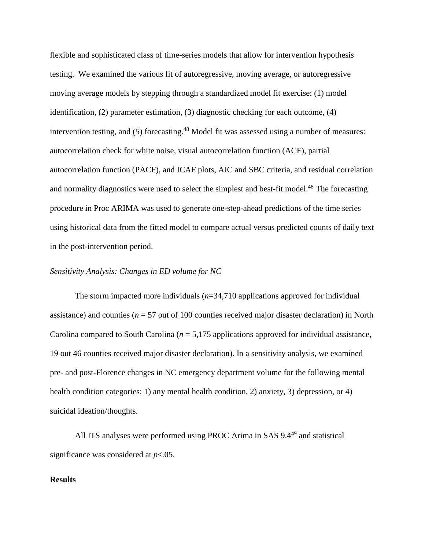flexible and sophisticated class of time-series models that allow for intervention hypothesis testing. We examined the various fit of autoregressive, moving average, or autoregressive moving average models by stepping through a standardized model fit exercise: (1) model identification, (2) parameter estimation, (3) diagnostic checking for each outcome, (4) intervention testing, and (5) forecasting.<sup>48</sup> Model fit was assessed using a number of measures: autocorrelation check for white noise, visual autocorrelation function (ACF), partial autocorrelation function (PACF), and ICAF plots, AIC and SBC criteria, and residual correlation and normality diagnostics were used to select the simplest and best-fit model.<sup>48</sup> The forecasting procedure in Proc ARIMA was used to generate one-step-ahead predictions of the time series using historical data from the fitted model to compare actual versus predicted counts of daily text in the post-intervention period.

## *Sensitivity Analysis: Changes in ED volume for NC*

The storm impacted more individuals (*n*=34,710 applications approved for individual assistance) and counties ( $n = 57$  out of 100 counties received major disaster declaration) in North Carolina compared to South Carolina (*n* = 5,175 applications approved for individual assistance, 19 out 46 counties received major disaster declaration). In a sensitivity analysis, we examined pre- and post-Florence changes in NC emergency department volume for the following mental health condition categories: 1) any mental health condition, 2) anxiety, 3) depression, or 4) suicidal ideation/thoughts.

All ITS analyses were performed using PROC Arima in SAS 9.4<sup>49</sup> and statistical significance was considered at *p*<.05.

#### **Results**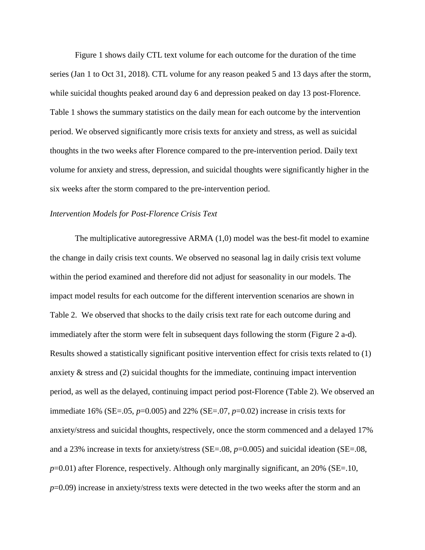Figure 1 shows daily CTL text volume for each outcome for the duration of the time series (Jan 1 to Oct 31, 2018). CTL volume for any reason peaked 5 and 13 days after the storm, while suicidal thoughts peaked around day 6 and depression peaked on day 13 post-Florence. Table 1 shows the summary statistics on the daily mean for each outcome by the intervention period. We observed significantly more crisis texts for anxiety and stress, as well as suicidal thoughts in the two weeks after Florence compared to the pre-intervention period. Daily text volume for anxiety and stress, depression, and suicidal thoughts were significantly higher in the six weeks after the storm compared to the pre-intervention period.

## *Intervention Models for Post-Florence Crisis Text*

The multiplicative autoregressive ARMA (1,0) model was the best-fit model to examine the change in daily crisis text counts. We observed no seasonal lag in daily crisis text volume within the period examined and therefore did not adjust for seasonality in our models. The impact model results for each outcome for the different intervention scenarios are shown in Table 2. We observed that shocks to the daily crisis text rate for each outcome during and immediately after the storm were felt in subsequent days following the storm (Figure 2 a-d). Results showed a statistically significant positive intervention effect for crisis texts related to (1) anxiety  $\&$  stress and (2) suicidal thoughts for the immediate, continuing impact intervention period, as well as the delayed, continuing impact period post-Florence (Table 2). We observed an immediate 16% (SE=.05,  $p=0.005$ ) and 22% (SE=.07,  $p=0.02$ ) increase in crisis texts for anxiety/stress and suicidal thoughts, respectively, once the storm commenced and a delayed 17% and a 23% increase in texts for anxiety/stress (SE=.08, *p*=0.005) and suicidal ideation (SE=.08, *p*=0.01) after Florence, respectively. Although only marginally significant, an 20% (SE=.10, *p*=0.09) increase in anxiety/stress texts were detected in the two weeks after the storm and an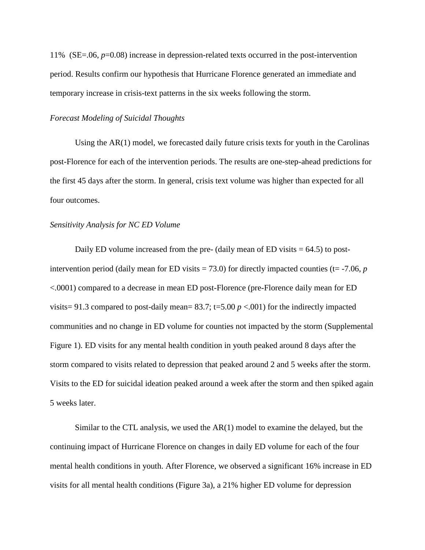11% (SE=.06, *p*=0.08) increase in depression-related texts occurred in the post-intervention period. Results confirm our hypothesis that Hurricane Florence generated an immediate and temporary increase in crisis-text patterns in the six weeks following the storm.

#### *Forecast Modeling of Suicidal Thoughts*

Using the  $AR(1)$  model, we forecasted daily future crisis texts for youth in the Carolinas post-Florence for each of the intervention periods. The results are one-step-ahead predictions for the first 45 days after the storm. In general, crisis text volume was higher than expected for all four outcomes.

#### *Sensitivity Analysis for NC ED Volume*

Daily ED volume increased from the pre- (daily mean of ED visits  $= 64.5$ ) to postintervention period (daily mean for ED visits  $= 73.0$ ) for directly impacted counties (t=  $-7.06$ , *p* <.0001) compared to a decrease in mean ED post-Florence (pre-Florence daily mean for ED visits= 91.3 compared to post-daily mean=  $83.7$ ; t=5.00  $p < .001$ ) for the indirectly impacted communities and no change in ED volume for counties not impacted by the storm (Supplemental Figure 1). ED visits for any mental health condition in youth peaked around 8 days after the storm compared to visits related to depression that peaked around 2 and 5 weeks after the storm. Visits to the ED for suicidal ideation peaked around a week after the storm and then spiked again 5 weeks later.

Similar to the CTL analysis, we used the AR(1) model to examine the delayed, but the continuing impact of Hurricane Florence on changes in daily ED volume for each of the four mental health conditions in youth. After Florence, we observed a significant 16% increase in ED visits for all mental health conditions (Figure 3a), a 21% higher ED volume for depression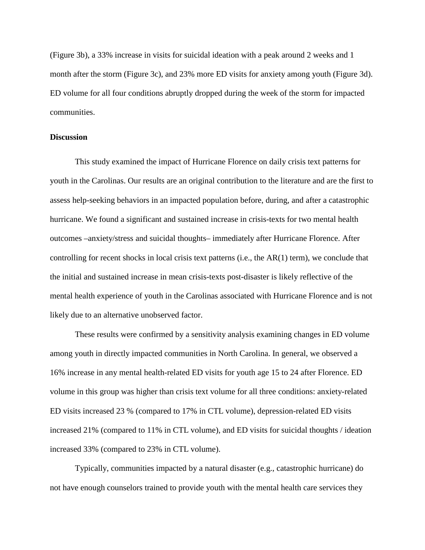(Figure 3b), a 33% increase in visits for suicidal ideation with a peak around 2 weeks and 1 month after the storm (Figure 3c), and 23% more ED visits for anxiety among youth (Figure 3d). ED volume for all four conditions abruptly dropped during the week of the storm for impacted communities.

## **Discussion**

This study examined the impact of Hurricane Florence on daily crisis text patterns for youth in the Carolinas. Our results are an original contribution to the literature and are the first to assess help-seeking behaviors in an impacted population before, during, and after a catastrophic hurricane. We found a significant and sustained increase in crisis-texts for two mental health outcomes –anxiety/stress and suicidal thoughts– immediately after Hurricane Florence. After controlling for recent shocks in local crisis text patterns (i.e., the  $AR(1)$  term), we conclude that the initial and sustained increase in mean crisis-texts post-disaster is likely reflective of the mental health experience of youth in the Carolinas associated with Hurricane Florence and is not likely due to an alternative unobserved factor.

These results were confirmed by a sensitivity analysis examining changes in ED volume among youth in directly impacted communities in North Carolina. In general, we observed a 16% increase in any mental health-related ED visits for youth age 15 to 24 after Florence. ED volume in this group was higher than crisis text volume for all three conditions: anxiety-related ED visits increased 23 % (compared to 17% in CTL volume), depression-related ED visits increased 21% (compared to 11% in CTL volume), and ED visits for suicidal thoughts / ideation increased 33% (compared to 23% in CTL volume).

Typically, communities impacted by a natural disaster (e.g., catastrophic hurricane) do not have enough counselors trained to provide youth with the mental health care services they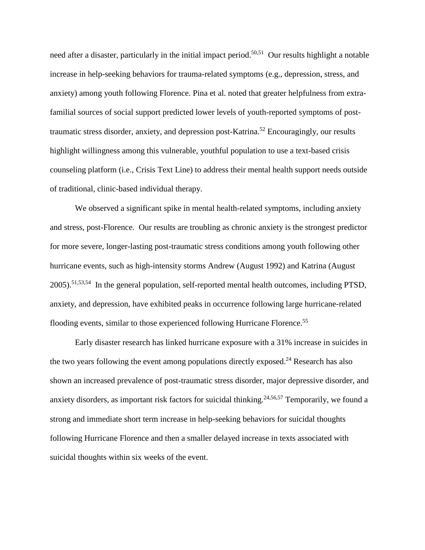need after a disaster, particularly in the initial impact period.<sup>50,51</sup> Our results highlight a notable increase in help-seeking behaviors for trauma-related symptoms (e.g., depression, stress, and anxiety) among youth following Florence. Pina et al. noted that greater helpfulness from extrafamilial sources of social support predicted lower levels of youth-reported symptoms of posttraumatic stress disorder, anxiety, and depression post-Katrina.<sup>52</sup> Encouragingly, our results highlight willingness among this vulnerable, youthful population to use a text-based crisis counseling platform (i.e., Crisis Text Line) to address their mental health support needs outside of traditional, clinic-based individual therapy.

We observed a significant spike in mental health-related symptoms, including anxiety and stress, post-Florence. Our results are troubling as chronic anxiety is the strongest predictor for more severe, longer-lasting post-traumatic stress conditions among youth following other hurricane events, such as high-intensity storms Andrew (August 1992) and Katrina (August 2005).51,53,54 In the general population, self-reported mental health outcomes, including PTSD, anxiety, and depression, have exhibited peaks in occurrence following large hurricane-related flooding events, similar to those experienced following Hurricane Florence.<sup>55</sup>

Early disaster research has linked hurricane exposure with a 31% increase in suicides in the two years following the event among populations directly exposed.<sup>24</sup> Research has also shown an increased prevalence of post-traumatic stress disorder, major depressive disorder, and anxiety disorders, as important risk factors for suicidal thinking.<sup>24,56,57</sup> Temporarily, we found a strong and immediate short term increase in help-seeking behaviors for suicidal thoughts following Hurricane Florence and then a smaller delayed increase in texts associated with suicidal thoughts within six weeks of the event.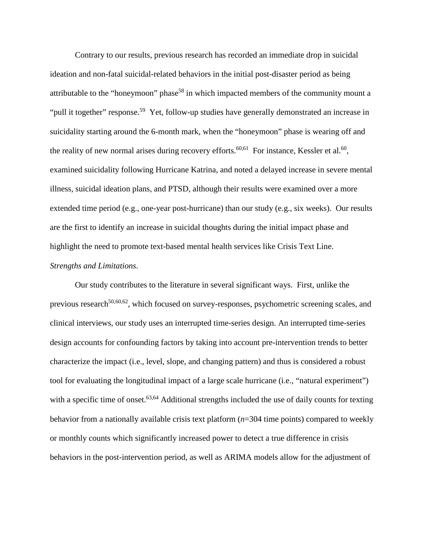Contrary to our results, previous research has recorded an immediate drop in suicidal ideation and non-fatal suicidal-related behaviors in the initial post-disaster period as being attributable to the "honeymoon" phase<sup>58</sup> in which impacted members of the community mount a "pull it together" response.<sup>59</sup> Yet, follow-up studies have generally demonstrated an increase in suicidality starting around the 6-month mark, when the "honeymoon" phase is wearing off and the reality of new normal arises during recovery efforts.<sup>60,61</sup> For instance, Kessler et al.<sup>60</sup>, examined suicidality following Hurricane Katrina, and noted a delayed increase in severe mental illness, suicidal ideation plans, and PTSD, although their results were examined over a more extended time period (e.g., one-year post-hurricane) than our study (e.g., six weeks). Our results are the first to identify an increase in suicidal thoughts during the initial impact phase and highlight the need to promote text-based mental health services like Crisis Text Line. *Strengths and Limitations*.

Our study contributes to the literature in several significant ways. First, unlike the previous research<sup>50,60,62</sup>, which focused on survey-responses, psychometric screening scales, and clinical interviews, our study uses an interrupted time-series design. An interrupted time-series design accounts for confounding factors by taking into account pre-intervention trends to better characterize the impact (i.e., level, slope, and changing pattern) and thus is considered a robust tool for evaluating the longitudinal impact of a large scale hurricane (i.e., "natural experiment") with a specific time of onset.<sup>63,64</sup> Additional strengths included the use of daily counts for texting behavior from a nationally available crisis text platform (*n*=304 time points) compared to weekly or monthly counts which significantly increased power to detect a true difference in crisis behaviors in the post-intervention period, as well as ARIMA models allow for the adjustment of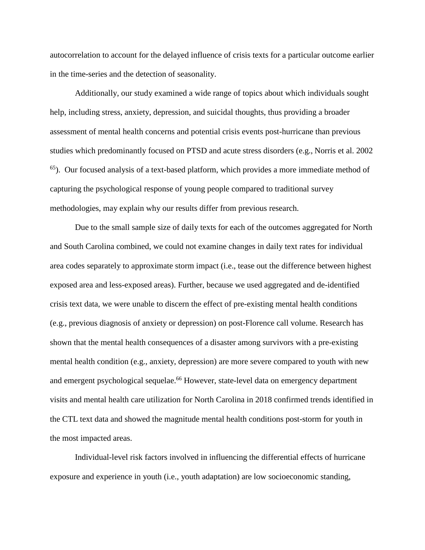autocorrelation to account for the delayed influence of crisis texts for a particular outcome earlier in the time-series and the detection of seasonality.

Additionally, our study examined a wide range of topics about which individuals sought help, including stress, anxiety, depression, and suicidal thoughts, thus providing a broader assessment of mental health concerns and potential crisis events post-hurricane than previous studies which predominantly focused on PTSD and acute stress disorders (e.g., Norris et al. 2002 65). Our focused analysis of a text-based platform, which provides a more immediate method of capturing the psychological response of young people compared to traditional survey methodologies, may explain why our results differ from previous research.

Due to the small sample size of daily texts for each of the outcomes aggregated for North and South Carolina combined, we could not examine changes in daily text rates for individual area codes separately to approximate storm impact (i.e., tease out the difference between highest exposed area and less-exposed areas). Further, because we used aggregated and de-identified crisis text data, we were unable to discern the effect of pre-existing mental health conditions (e.g., previous diagnosis of anxiety or depression) on post-Florence call volume. Research has shown that the mental health consequences of a disaster among survivors with a pre-existing mental health condition (e.g., anxiety, depression) are more severe compared to youth with new and emergent psychological sequelae. <sup>66</sup> However, state-level data on emergency department visits and mental health care utilization for North Carolina in 2018 confirmed trends identified in the CTL text data and showed the magnitude mental health conditions post-storm for youth in the most impacted areas.

Individual-level risk factors involved in influencing the differential effects of hurricane exposure and experience in youth (i.e., youth adaptation) are low socioeconomic standing,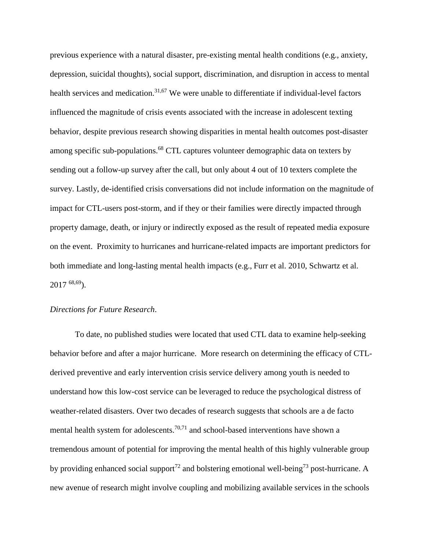previous experience with a natural disaster, pre-existing mental health conditions (e.g., anxiety, depression, suicidal thoughts), social support, discrimination, and disruption in access to mental health services and medication.<sup>31,67</sup> We were unable to differentiate if individual-level factors influenced the magnitude of crisis events associated with the increase in adolescent texting behavior, despite previous research showing disparities in mental health outcomes post-disaster among specific sub-populations.<sup>68</sup> CTL captures volunteer demographic data on texters by sending out a follow-up survey after the call, but only about 4 out of 10 texters complete the survey. Lastly, de-identified crisis conversations did not include information on the magnitude of impact for CTL-users post-storm, and if they or their families were directly impacted through property damage, death, or injury or indirectly exposed as the result of repeated media exposure on the event. Proximity to hurricanes and hurricane-related impacts are important predictors for both immediate and long-lasting mental health impacts (e.g., Furr et al. 2010, Schwartz et al.  $2017^{68,69}$ .

#### *Directions for Future Research*.

To date, no published studies were located that used CTL data to examine help-seeking behavior before and after a major hurricane. More research on determining the efficacy of CTLderived preventive and early intervention crisis service delivery among youth is needed to understand how this low-cost service can be leveraged to reduce the psychological distress of weather-related disasters. Over two decades of research suggests that schools are a de facto mental health system for adolescents.<sup>70,71</sup> and school-based interventions have shown a tremendous amount of potential for improving the mental health of this highly vulnerable group by providing enhanced social support<sup>72</sup> and bolstering emotional well-being<sup>73</sup> post-hurricane. A new avenue of research might involve coupling and mobilizing available services in the schools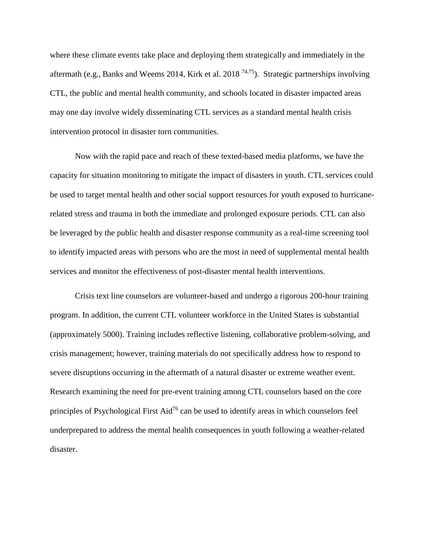where these climate events take place and deploying them strategically and immediately in the aftermath (e.g., Banks and Weems 2014, Kirk et al. 2018<sup>74,75</sup>). Strategic partnerships involving CTL, the public and mental health community, and schools located in disaster impacted areas may one day involve widely disseminating CTL services as a standard mental health crisis intervention protocol in disaster torn communities.

Now with the rapid pace and reach of these texted-based media platforms, we have the capacity for situation monitoring to mitigate the impact of disasters in youth. CTL services could be used to target mental health and other social support resources for youth exposed to hurricanerelated stress and trauma in both the immediate and prolonged exposure periods. CTL can also be leveraged by the public health and disaster response community as a real-time screening tool to identify impacted areas with persons who are the most in need of supplemental mental health services and monitor the effectiveness of post-disaster mental health interventions.

Crisis text line counselors are volunteer-based and undergo a rigorous 200-hour training program. In addition, the current CTL volunteer workforce in the United States is substantial (approximately 5000). Training includes reflective listening, collaborative problem-solving, and crisis management; however, training materials do not specifically address how to respond to severe disruptions occurring in the aftermath of a natural disaster or extreme weather event. Research examining the need for pre-event training among CTL counselors based on the core principles of Psychological First Aid<sup>76</sup> can be used to identify areas in which counselors feel underprepared to address the mental health consequences in youth following a weather-related disaster.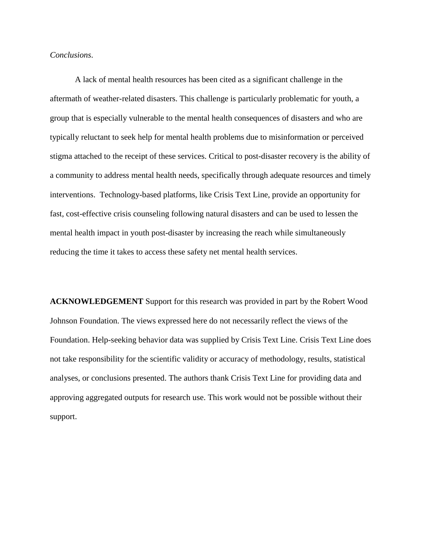## *Conclusions*.

A lack of mental health resources has been cited as a significant challenge in the aftermath of weather-related disasters. This challenge is particularly problematic for youth, a group that is especially vulnerable to the mental health consequences of disasters and who are typically reluctant to seek help for mental health problems due to misinformation or perceived stigma attached to the receipt of these services. Critical to post-disaster recovery is the ability of a community to address mental health needs, specifically through adequate resources and timely interventions. Technology-based platforms, like Crisis Text Line, provide an opportunity for fast, cost-effective crisis counseling following natural disasters and can be used to lessen the mental health impact in youth post-disaster by increasing the reach while simultaneously reducing the time it takes to access these safety net mental health services.

**ACKNOWLEDGEMENT** Support for this research was provided in part by the Robert Wood Johnson Foundation. The views expressed here do not necessarily reflect the views of the Foundation. Help-seeking behavior data was supplied by Crisis Text Line. Crisis Text Line does not take responsibility for the scientific validity or accuracy of methodology, results, statistical analyses, or conclusions presented. The authors thank Crisis Text Line for providing data and approving aggregated outputs for research use. This work would not be possible without their support.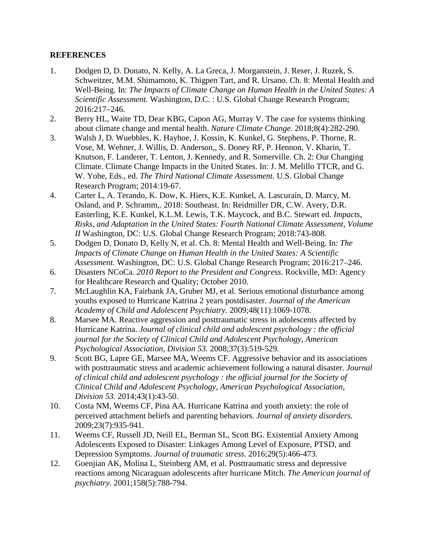# **REFERENCES**

- 1. Dodgen D, D. Donato, N. Kelly, A. La Greca, J. Morganstein, J. Reser, J. Ruzek, S. Schweitzer, M.M. Shimamoto, K. Thigpen Tart, and R. Ursano. Ch. 8: Mental Health and Well-Being. In: *The Impacts of Climate Change on Human Health in the United States: A Scientific Assessment.* Washington, D.C. : U.S. Global Change Research Program; 2016:217–246.
- 2. Berry HL, Waite TD, Dear KBG, Capon AG, Murray V. The case for systems thinking about climate change and mental health. *Nature Climate Change.* 2018;8(4):282-290.
- 3. Walsh J, D. Wuebbles, K. Hayhoe, J. Kossin, K. Kunkel, G. Stephens, P. Thorne, R. Vose, M. Wehner, J. Willis, D. Anderson,, S. Doney RF, P. Hennon, V. Kharin, T. Knutson, F. Landerer, T. Lenton, J. Kennedy, and R. Somerville. Ch. 2: Our Changing Climate. Climate Change Impacts in the United States. In: J. M. Melillo TTCR, and G. W. Yohe, Eds., ed. *The Third National Climate Assessment.* U.S. Global Change Research Program; 2014:19-67.
- 4. Carter L, A. Terando, K. Dow, K. Hiers, K.E. Kunkel, A. Lascurain, D. Marcy, M. Osland, and P. Schramm,. 2018: Southeast. In: Reidmiller DR, C.W. Avery, D.R. Easterling, K.E. Kunkel, K.L.M. Lewis, T.K. Maycock, and B.C. Stewart ed. *Impacts, Risks, and Adaptation in the United States: Fourth National Climate Assessment, Volume II* Washington, DC: U.S. Global Change Research Program; 2018:743-808.
- 5. Dodgen D, Donato D, Kelly N, et al. Ch. 8: Mental Health and Well-Being. In: *The Impacts of Climate Change on Human Health in the United States: A Scientific Assessment.* Washington, DC: U.S. Global Change Research Program; 2016:217–246.
- 6. Disasters NCoCa. *2010 Report to the President and Congress.* Rockville, MD: Agency for Healthcare Research and Quality; October 2010.
- 7. McLaughlin KA, Fairbank JA, Gruber MJ, et al. Serious emotional disturbance among youths exposed to Hurricane Katrina 2 years postdisaster. *Journal of the American Academy of Child and Adolescent Psychiatry.* 2009;48(11):1069-1078.
- 8. Marsee MA. Reactive aggression and posttraumatic stress in adolescents affected by Hurricane Katrina. *Journal of clinical child and adolescent psychology : the official journal for the Society of Clinical Child and Adolescent Psychology, American Psychological Association, Division 53.* 2008;37(3):519-529.
- 9. Scott BG, Lapre GE, Marsee MA, Weems CF. Aggressive behavior and its associations with posttraumatic stress and academic achievement following a natural disaster. *Journal of clinical child and adolescent psychology : the official journal for the Society of Clinical Child and Adolescent Psychology, American Psychological Association, Division 53.* 2014;43(1):43-50.
- 10. Costa NM, Weems CF, Pina AA. Hurricane Katrina and youth anxiety: the role of perceived attachment beliefs and parenting behaviors. *Journal of anxiety disorders.* 2009;23(7):935-941.
- 11. Weems CF, Russell JD, Neill EL, Berman SL, Scott BG. Existential Anxiety Among Adolescents Exposed to Disaster: Linkages Among Level of Exposure, PTSD, and Depression Symptoms. *Journal of traumatic stress.* 2016;29(5):466-473.
- 12. Goenjian AK, Molina L, Steinberg AM, et al. Posttraumatic stress and depressive reactions among Nicaraguan adolescents after hurricane Mitch. *The American journal of psychiatry.* 2001;158(5):788-794.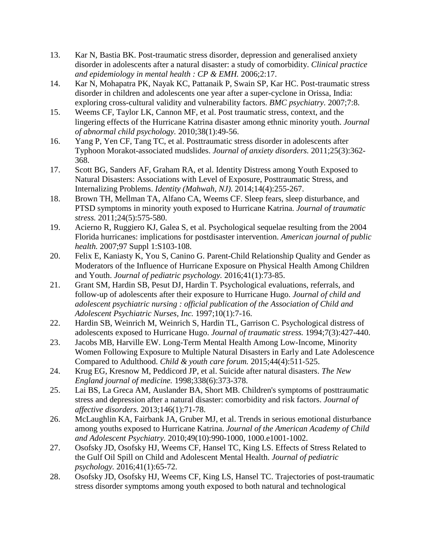- 13. Kar N, Bastia BK. Post-traumatic stress disorder, depression and generalised anxiety disorder in adolescents after a natural disaster: a study of comorbidity. *Clinical practice and epidemiology in mental health : CP & EMH.* 2006;2:17.
- 14. Kar N, Mohapatra PK, Nayak KC, Pattanaik P, Swain SP, Kar HC. Post-traumatic stress disorder in children and adolescents one year after a super-cyclone in Orissa, India: exploring cross-cultural validity and vulnerability factors. *BMC psychiatry.* 2007;7:8.
- 15. Weems CF, Taylor LK, Cannon MF, et al. Post traumatic stress, context, and the lingering effects of the Hurricane Katrina disaster among ethnic minority youth. *Journal of abnormal child psychology.* 2010;38(1):49-56.
- 16. Yang P, Yen CF, Tang TC, et al. Posttraumatic stress disorder in adolescents after Typhoon Morakot-associated mudslides. *Journal of anxiety disorders.* 2011;25(3):362- 368.
- 17. Scott BG, Sanders AF, Graham RA, et al. Identity Distress among Youth Exposed to Natural Disasters: Associations with Level of Exposure, Posttraumatic Stress, and Internalizing Problems. *Identity (Mahwah, NJ).* 2014;14(4):255-267.
- 18. Brown TH, Mellman TA, Alfano CA, Weems CF. Sleep fears, sleep disturbance, and PTSD symptoms in minority youth exposed to Hurricane Katrina. *Journal of traumatic stress.* 2011;24(5):575-580.
- 19. Acierno R, Ruggiero KJ, Galea S, et al. Psychological sequelae resulting from the 2004 Florida hurricanes: implications for postdisaster intervention. *American journal of public health.* 2007;97 Suppl 1:S103-108.
- 20. Felix E, Kaniasty K, You S, Canino G. Parent-Child Relationship Quality and Gender as Moderators of the Influence of Hurricane Exposure on Physical Health Among Children and Youth. *Journal of pediatric psychology.* 2016;41(1):73-85.
- 21. Grant SM, Hardin SB, Pesut DJ, Hardin T. Psychological evaluations, referrals, and follow-up of adolescents after their exposure to Hurricane Hugo. *Journal of child and adolescent psychiatric nursing : official publication of the Association of Child and Adolescent Psychiatric Nurses, Inc.* 1997;10(1):7-16.
- 22. Hardin SB, Weinrich M, Weinrich S, Hardin TL, Garrison C. Psychological distress of adolescents exposed to Hurricane Hugo. *Journal of traumatic stress.* 1994;7(3):427-440.
- 23. Jacobs MB, Harville EW. Long-Term Mental Health Among Low-Income, Minority Women Following Exposure to Multiple Natural Disasters in Early and Late Adolescence Compared to Adulthood. *Child & youth care forum.* 2015;44(4):511-525.
- 24. Krug EG, Kresnow M, Peddicord JP, et al. Suicide after natural disasters. *The New England journal of medicine.* 1998;338(6):373-378.
- 25. Lai BS, La Greca AM, Auslander BA, Short MB. Children's symptoms of posttraumatic stress and depression after a natural disaster: comorbidity and risk factors. *Journal of affective disorders.* 2013;146(1):71-78.
- 26. McLaughlin KA, Fairbank JA, Gruber MJ, et al. Trends in serious emotional disturbance among youths exposed to Hurricane Katrina. *Journal of the American Academy of Child and Adolescent Psychiatry.* 2010;49(10):990-1000, 1000.e1001-1002.
- 27. Osofsky JD, Osofsky HJ, Weems CF, Hansel TC, King LS. Effects of Stress Related to the Gulf Oil Spill on Child and Adolescent Mental Health. *Journal of pediatric psychology.* 2016;41(1):65-72.
- 28. Osofsky JD, Osofsky HJ, Weems CF, King LS, Hansel TC. Trajectories of post-traumatic stress disorder symptoms among youth exposed to both natural and technological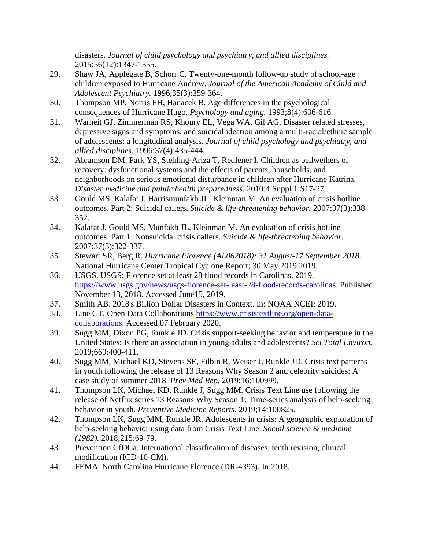disasters. *Journal of child psychology and psychiatry, and allied disciplines.*  2015;56(12):1347-1355.

- 29. Shaw JA, Applegate B, Schorr C. Twenty-one-month follow-up study of school-age children exposed to Hurricane Andrew. *Journal of the American Academy of Child and Adolescent Psychiatry.* 1996;35(3):359-364.
- 30. Thompson MP, Norris FH, Hanacek B. Age differences in the psychological consequences of Hurricane Hugo. *Psychology and aging.* 1993;8(4):606-616.
- 31. Warheit GJ, Zimmerman RS, Khoury EL, Vega WA, Gil AG. Disaster related stresses, depressive signs and symptoms, and suicidal ideation among a multi-racial/ethnic sample of adolescents: a longitudinal analysis. *Journal of child psychology and psychiatry, and allied disciplines.* 1996;37(4):435-444.
- 32. Abramson DM, Park YS, Stehling-Ariza T, Redlener I. Children as bellwethers of recovery: dysfunctional systems and the effects of parents, households, and neighborhoods on serious emotional disturbance in children after Hurricane Katrina. *Disaster medicine and public health preparedness.* 2010;4 Suppl 1:S17-27.
- 33. Gould MS, Kalafat J, Harrismunfakh JL, Kleinman M. An evaluation of crisis hotline outcomes. Part 2: Suicidal callers. *Suicide & life-threatening behavior.* 2007;37(3):338- 352.
- 34. Kalafat J, Gould MS, Munfakh JL, Kleinman M. An evaluation of crisis hotline outcomes. Part 1: Nonsuicidal crisis callers. *Suicide & life-threatening behavior.* 2007;37(3):322-337.
- 35. Stewart SR, Berg R. *Hurricane Florence (AL062018): 31 August-17 September 2018.* National Hurricane Center Tropical Cyclone Report; 30 May 2019 2019.
- 36. USGS. USGS: Florence set at least 28 flood records in Carolinas. 2019. [https://www.usgs.gov/news/usgs-florence-set-least-28-flood-records-carolinas.](https://www.usgs.gov/news/usgs-florence-set-least-28-flood-records-carolinas) Published November 13, 2018. Accessed June15, 2019.
- 37. Smith AB. 2018's Billion Dollar Disasters in Context. In: NOAA NCEI; 2019.
- 38. Line CT. Open Data Collaborations [https://www.crisistextline.org/open-data](https://www.crisistextline.org/open-data-collaborations)[collaborations.](https://www.crisistextline.org/open-data-collaborations) Accessed 07 February 2020.
- 39. Sugg MM, Dixon PG, Runkle JD. Crisis support-seeking behavior and temperature in the United States: Is there an association in young adults and adolescents? *Sci Total Environ.* 2019;669:400-411.
- 40. Sugg MM, Michael KD, Stevens SE, Filbin R, Weiser J, Runkle JD. Crisis text patterns in youth following the release of 13 Reasons Why Season 2 and celebrity suicides: A case study of summer 2018. *Prev Med Rep.* 2019;16:100999.
- 41. Thompson LK, Michael KD, Runkle J, Sugg MM. Crisis Text Line use following the release of Netflix series 13 Reasons Why Season 1: Time-series analysis of help-seeking behavior in youth. *Preventive Medicine Reports.* 2019;14:100825.
- 42. Thompson LK, Sugg MM, Runkle JR. Adolescents in crisis: A geographic exploration of help-seeking behavior using data from Crisis Text Line. *Social science & medicine (1982).* 2018;215:69-79.
- 43. Prevention CfDCa. International classification of diseases, tenth revision, clinical modification (ICD-10-CM).
- 44. FEMA. North Carolina Hurricane Florence (DR-4393). In:2018.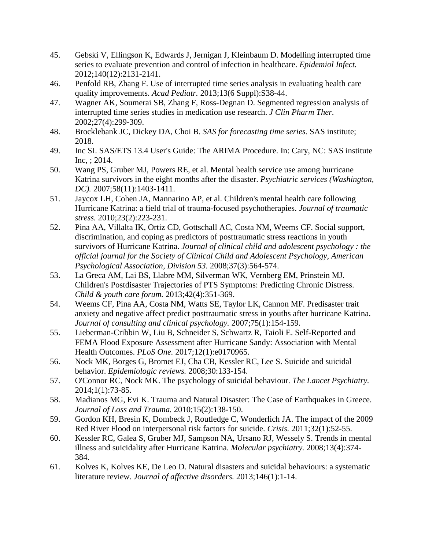- 45. Gebski V, Ellingson K, Edwards J, Jernigan J, Kleinbaum D. Modelling interrupted time series to evaluate prevention and control of infection in healthcare. *Epidemiol Infect.* 2012;140(12):2131-2141.
- 46. Penfold RB, Zhang F. Use of interrupted time series analysis in evaluating health care quality improvements. *Acad Pediatr.* 2013;13(6 Suppl):S38-44.
- 47. Wagner AK, Soumerai SB, Zhang F, Ross-Degnan D. Segmented regression analysis of interrupted time series studies in medication use research. *J Clin Pharm Ther.* 2002;27(4):299-309.
- 48. Brocklebank JC, Dickey DA, Choi B. *SAS for forecasting time series.* SAS institute; 2018.
- 49. Inc SI. SAS/ETS 13.4 User's Guide: The ARIMA Procedure. In: Cary, NC: SAS institute Inc, ; 2014.
- 50. Wang PS, Gruber MJ, Powers RE, et al. Mental health service use among hurricane Katrina survivors in the eight months after the disaster. *Psychiatric services (Washington, DC).* 2007;58(11):1403-1411.
- 51. Jaycox LH, Cohen JA, Mannarino AP, et al. Children's mental health care following Hurricane Katrina: a field trial of trauma-focused psychotherapies. *Journal of traumatic stress.* 2010;23(2):223-231.
- 52. Pina AA, Villalta IK, Ortiz CD, Gottschall AC, Costa NM, Weems CF. Social support, discrimination, and coping as predictors of posttraumatic stress reactions in youth survivors of Hurricane Katrina. *Journal of clinical child and adolescent psychology : the official journal for the Society of Clinical Child and Adolescent Psychology, American Psychological Association, Division 53.* 2008;37(3):564-574.
- 53. La Greca AM, Lai BS, Llabre MM, Silverman WK, Vernberg EM, Prinstein MJ. Children's Postdisaster Trajectories of PTS Symptoms: Predicting Chronic Distress. *Child & youth care forum.* 2013;42(4):351-369.
- 54. Weems CF, Pina AA, Costa NM, Watts SE, Taylor LK, Cannon MF. Predisaster trait anxiety and negative affect predict posttraumatic stress in youths after hurricane Katrina. *Journal of consulting and clinical psychology.* 2007;75(1):154-159.
- 55. Lieberman-Cribbin W, Liu B, Schneider S, Schwartz R, Taioli E. Self-Reported and FEMA Flood Exposure Assessment after Hurricane Sandy: Association with Mental Health Outcomes. *PLoS One.* 2017;12(1):e0170965.
- 56. Nock MK, Borges G, Bromet EJ, Cha CB, Kessler RC, Lee S. Suicide and suicidal behavior. *Epidemiologic reviews.* 2008;30:133-154.
- 57. O'Connor RC, Nock MK. The psychology of suicidal behaviour. *The Lancet Psychiatry.* 2014;1(1):73-85.
- 58. Madianos MG, Evi K. Trauma and Natural Disaster: The Case of Earthquakes in Greece. *Journal of Loss and Trauma.* 2010;15(2):138-150.
- 59. Gordon KH, Bresin K, Dombeck J, Routledge C, Wonderlich JA. The impact of the 2009 Red River Flood on interpersonal risk factors for suicide. *Crisis.* 2011;32(1):52-55.
- 60. Kessler RC, Galea S, Gruber MJ, Sampson NA, Ursano RJ, Wessely S. Trends in mental illness and suicidality after Hurricane Katrina. *Molecular psychiatry.* 2008;13(4):374- 384.
- 61. Kolves K, Kolves KE, De Leo D. Natural disasters and suicidal behaviours: a systematic literature review. *Journal of affective disorders.* 2013;146(1):1-14.